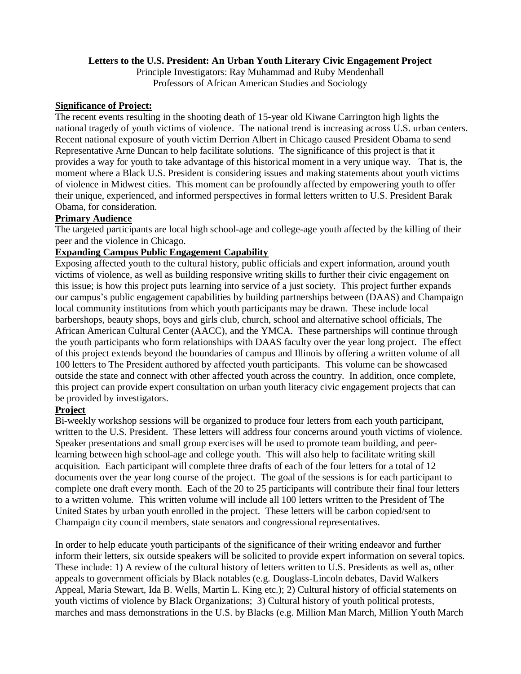## **Letters to the U.S. President: An Urban Youth Literary Civic Engagement Project**

Principle Investigators: Ray Muhammad and Ruby Mendenhall Professors of African American Studies and Sociology

#### **Significance of Project:**

The recent events resulting in the shooting death of 15-year old Kiwane Carrington high lights the national tragedy of youth victims of violence. The national trend is increasing across U.S. urban centers. Recent national exposure of youth victim Derrion Albert in Chicago caused President Obama to send Representative Arne Duncan to help facilitate solutions. The significance of this project is that it provides a way for youth to take advantage of this historical moment in a very unique way. That is, the moment where a Black U.S. President is considering issues and making statements about youth victims of violence in Midwest cities. This moment can be profoundly affected by empowering youth to offer their unique, experienced, and informed perspectives in formal letters written to U.S. President Barak Obama, for consideration.

### **Primary Audience**

The targeted participants are local high school-age and college-age youth affected by the killing of their peer and the violence in Chicago.

### **Expanding Campus Public Engagement Capability**

Exposing affected youth to the cultural history, public officials and expert information, around youth victims of violence, as well as building responsive writing skills to further their civic engagement on this issue; is how this project puts learning into service of a just society. This project further expands our campus's public engagement capabilities by building partnerships between (DAAS) and Champaign local community institutions from which youth participants may be drawn. These include local barbershops, beauty shops, boys and girls club, church, school and alternative school officials, The African American Cultural Center (AACC), and the YMCA. These partnerships will continue through the youth participants who form relationships with DAAS faculty over the year long project. The effect of this project extends beyond the boundaries of campus and Illinois by offering a written volume of all 100 letters to The President authored by affected youth participants. This volume can be showcased outside the state and connect with other affected youth across the country. In addition, once complete, this project can provide expert consultation on urban youth literacy civic engagement projects that can be provided by investigators.

## **Project**

Bi-weekly workshop sessions will be organized to produce four letters from each youth participant, written to the U.S. President. These letters will address four concerns around youth victims of violence. Speaker presentations and small group exercises will be used to promote team building, and peerlearning between high school-age and college youth. This will also help to facilitate writing skill acquisition. Each participant will complete three drafts of each of the four letters for a total of 12 documents over the year long course of the project. The goal of the sessions is for each participant to complete one draft every month. Each of the 20 to 25 participants will contribute their final four letters to a written volume. This written volume will include all 100 letters written to the President of The United States by urban youth enrolled in the project. These letters will be carbon copied/sent to Champaign city council members, state senators and congressional representatives.

In order to help educate youth participants of the significance of their writing endeavor and further inform their letters, six outside speakers will be solicited to provide expert information on several topics. These include: 1) A review of the cultural history of letters written to U.S. Presidents as well as, other appeals to government officials by Black notables (e.g. Douglass-Lincoln debates, David Walkers Appeal, Maria Stewart, Ida B. Wells, Martin L. King etc.); 2) Cultural history of official statements on youth victims of violence by Black Organizations; 3) Cultural history of youth political protests, marches and mass demonstrations in the U.S. by Blacks (e.g. Million Man March, Million Youth March